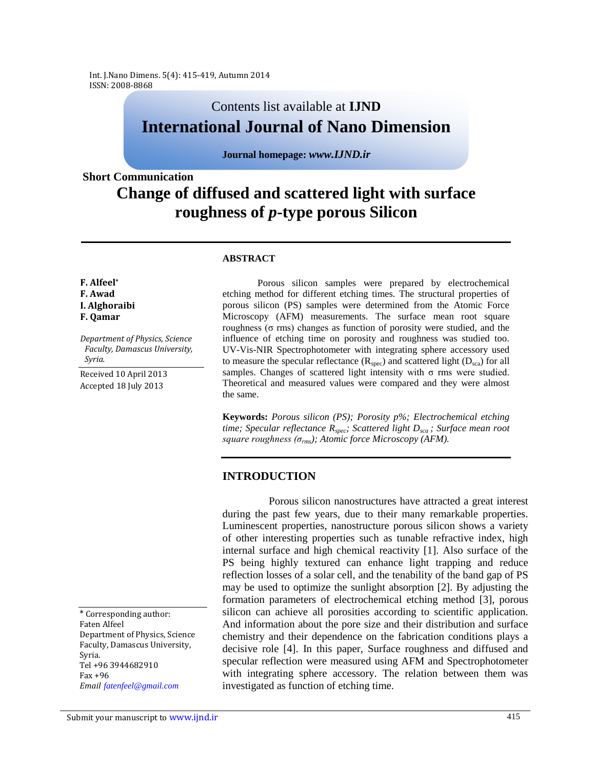# Contents list available at **IJND International Journal of Nano Dimension**

#### **Journal homepage:** *www.IJND.ir*

**Short Communication Change of diffused and scattered light with surface roughness of** *p***-type porous Silicon**

#### **ABSTRACT**

#### **F. Alfeel\* F. Awad I. Alghoraibi F. Qamar**

*Department of Physics, Science Faculty, Damascus University, Syria.*

Received 10 April 2013 Accepted 18 July 2013

Porous silicon samples were prepared by electrochemical etching method for different etching times. The structural properties of porous silicon (PS) samples were determined from the Atomic Force Microscopy (AFM) measurements. The surface mean root square roughness (σ rms) changes as function of porosity were studied, and the influence of etching time on porosity and roughness was studied too. UV-Vis-NIR Spectrophotometer with integrating sphere accessory used to measure the specular reflectance  $(R_{\text{spec}})$  and scattered light  $(D_{\text{sea}})$  for all samples. Changes of scattered light intensity with σ rms were studied. Theoretical and measured values were compared and they were almost the same.

**Keywords:** *Porous silicon (PS); Porosity p%; Electrochemical etching time; Specular reflectance Rspec; Scattered light Dsca ; Surface mean root square roughness (σrms); Atomic force Microscopy (AFM).*

## **INTRODUCTION**

Porous silicon nanostructures have attracted a great interest during the past few years, due to their many remarkable properties. Luminescent properties, nanostructure porous silicon shows a variety of other interesting properties such as tunable refractive index, high internal surface and high chemical reactivity [1]. Also surface of the PS being highly textured can enhance light trapping and reduce reflection losses of a solar cell, and the tenability of the band gap of PS may be used to optimize the sunlight absorption [2]. By adjusting the formation parameters of electrochemical etching method [3], porous silicon can achieve all porosities according to scientific application. And information about the pore size and their distribution and surface chemistry and their dependence on the fabrication conditions plays a decisive role [4]. In this paper, Surface roughness and diffused and specular reflection were measured using AFM and Spectrophotometer with integrating sphere accessory. The relation between them was investigated as function of etching time.

\* Corresponding author: Faten Alfeel Department of Physics, Science Faculty, Damascus University, Syria. Tel +96 3944682910 Fax +96 *Email fatenfeel@gmail.com*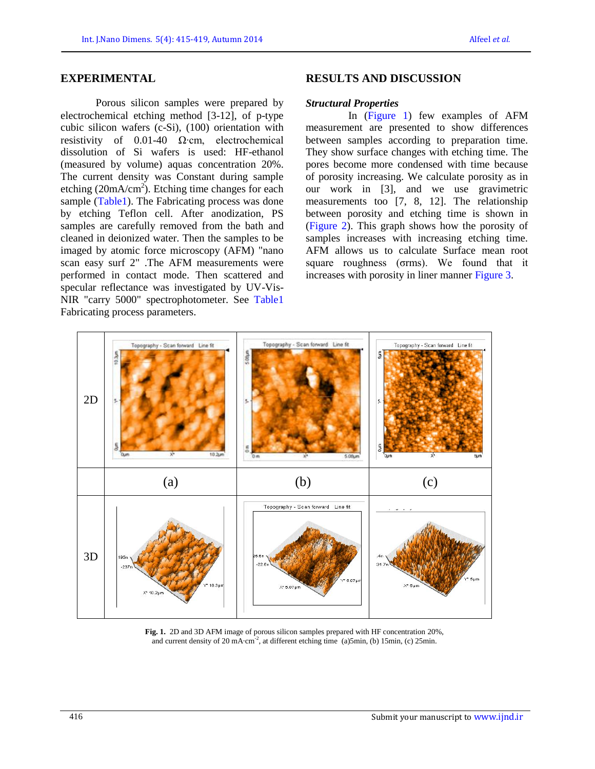#### **EXPERIMENTAL**

Porous silicon samples were prepared by electrochemical etching method [3-12], of p-type cubic silicon wafers (c-Si), (100) orientation with resistivity of 0.01-40  $\Omega$ ·cm, electrochemical dissolution of Si wafers is used: HF-ethanol (measured by volume) aquas concentration 20%. The current density was Constant during sample etching  $(20mA/cm^2)$ . Etching time changes for each sample (Table1). The Fabricating process was done by etching Teflon cell. After anodization, PS samples are carefully removed from the bath and cleaned in deionized water. Then the samples to be imaged by atomic force microscopy (AFM) "nano scan easy surf 2" .The AFM measurements were performed in contact mode. Then scattered and specular reflectance was investigated by UV-Vis-NIR "carry 5000" spectrophotometer. See Table1 Fabricating process parameters.

### **RESULTS AND DISCUSSION**

#### *Structural Properties*

In (Figure 1) few examples of AFM measurement are presented to show differences between samples according to preparation time. They show surface changes with etching time. The pores become more condensed with time because of porosity increasing. We calculate porosity as in our work in [3], and we use gravimetric measurements too [7, 8, 12]. The relationship between porosity and etching time is shown in (Figure 2). This graph shows how the porosity of samples increases with increasing etching time. AFM allows us to calculate Surface mean root square roughness (σrms). We found that it increases with porosity in liner manner Figure 3.



**Fig. 1.** 2D and 3D AFM image of porous silicon samples prepared with HF concentration 20%, and current density of 20 mA·cm<sup>-2</sup>, at different etching time (a)5min, (b) 15min, (c) 25min.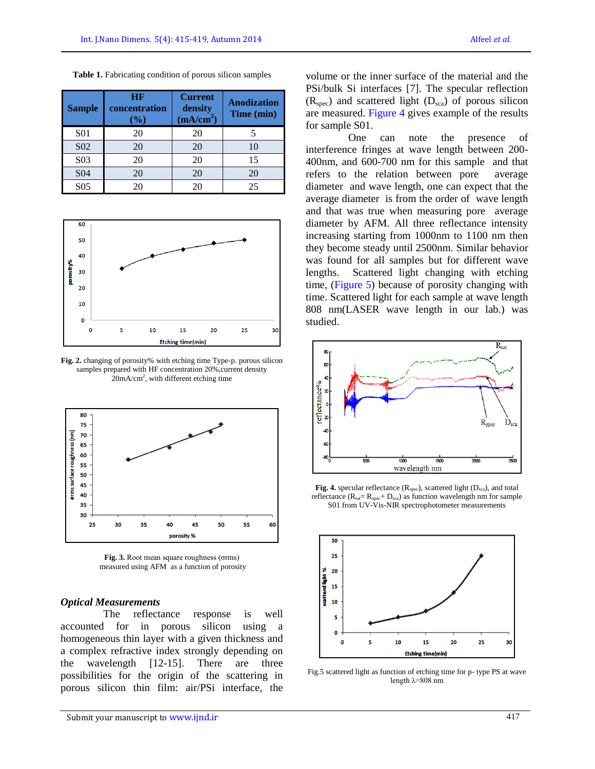| <b>Sample</b>    | <b>HF</b><br>concentration<br>$(\%)$ | <b>Current</b><br>density<br>(mA/cm <sup>2</sup> ) | <b>Anodization</b><br>Time (min) |
|------------------|--------------------------------------|----------------------------------------------------|----------------------------------|
| S <sub>01</sub>  | 20                                   | 20                                                 |                                  |
| S <sub>0</sub> 2 | 20                                   | 20                                                 | 10                               |
| S <sub>0</sub> 3 | 20                                   | 20                                                 | 15                               |
| S <sub>04</sub>  | 20                                   | 20                                                 | 20                               |
| S <sub>05</sub>  |                                      | ንበ                                                 | 25                               |



**Fig. 2.** changing of porosity% with etching time Type-p. porous silicon samples prepared with HF concentration 20%, current density  $20$ mA/cm<sup>2</sup>, with different etching time



**Fig. 3.** Root mean square roughness (σrms) measured using AFM as a function of porosity

#### *Optical Measurements*

The reflectance response is well accounted for in porous silicon using a homogeneous thin layer with a given thickness and a complex refractive index strongly depending on the wavelength [12-15]. There are three possibilities for the origin of the scattering in porous silicon thin film: air/PSi interface, the

Submit your manuscript to www.ijnd.ir  $417$ 

volume or the inner surface of the material and the PSi/bulk Si interfaces [7]. The specular reflection  $(R<sub>spec</sub>)$  and scattered light  $(D<sub>sea</sub>)$  of porous silicon are measured. Figure 4 gives example of the results for sample S01.

One can note the presence of interference fringes at wave length between 200- 400nm, and 600-700 nm for this sample and that refers to the relation between pore average diameter and wave length, one can expect that the average diameter is from the order of wave length and that was true when measuring pore average diameter by AFM. All three reflectance intensity increasing starting from 1000nm to 1100 nm then they become steady until 2500nm. Similar behavior was found for all samples but for different wave lengths. Scattered light changing with etching time, (Figure 5) because of porosity changing with time. Scattered light for each sample at wave length 808 nm(LASER wave length in our lab.) was studied.



**Fig. 4.** specular reflectance  $(R_{spec})$ , scattered light  $(D_{sca})$ , and total reflectance ( $R_{\text{tot}}= R_{\text{spec}}+ D_{\text{sca}}$ ) as function wavelength nm for sample S01 from UV-Vis-NIR spectrophotometer measurements



Fig.5 scattered light as function of etching time for p- type PS at wave length λ=808 nm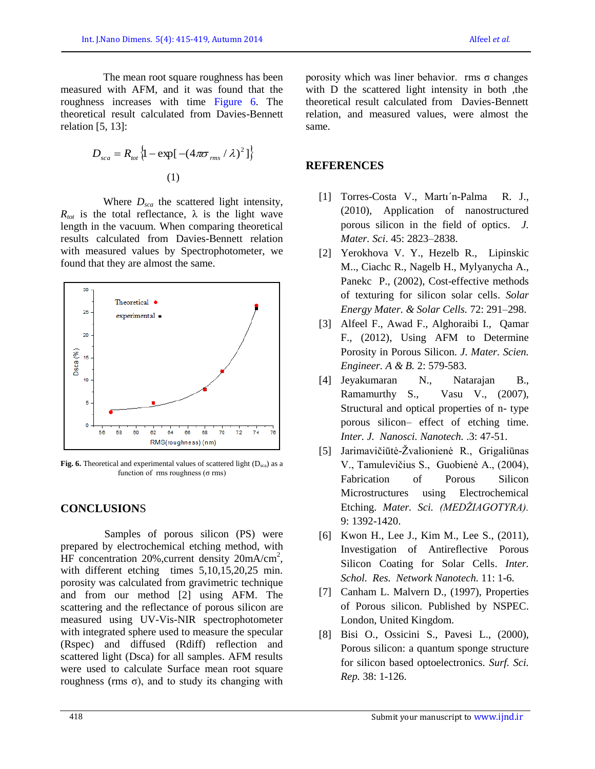The mean root square roughness has been measured with AFM, and it was found that the roughness increases with time Figure 6. The theoretical result calculated from Davies-Bennett relation [5, 13]:

$$
D_{sca} = R_{tot} \left\{ 1 - \exp[-(4\pi\sigma_{rms} / \lambda)^{2}] \right\}
$$
  
(1)

Where *Dsca* the scattered light intensity,  $R_{tot}$  is the total reflectance,  $\lambda$  is the light wave length in the vacuum. When comparing theoretical results calculated from Davies-Bennett relation with measured values by Spectrophotometer, we found that they are almost the same.



**Fig. 6.** Theoretical and experimental values of scattered light  $(D_{\text{sea}})$  as a function of rms roughness ( $\sigma$  rms)

## **CONCLUSION**S

Samples of porous silicon (PS) were prepared by electrochemical etching method, with HF concentration 20%, current density 20mA/cm<sup>2</sup>, with different etching times 5,10,15,20,25 min. porosity was calculated from gravimetric technique and from our method [2] using AFM. The scattering and the reflectance of porous silicon are measured using UV-Vis-NIR spectrophotometer with integrated sphere used to measure the specular (Rspec) and diffused (Rdiff) reflection and scattered light (Dsca) for all samples. AFM results were used to calculate Surface mean root square roughness (rms  $\sigma$ ), and to study its changing with

porosity which was liner behavior. rms  $\sigma$  changes with D the scattered light intensity in both , the theoretical result calculated from Davies-Bennett relation, and measured values, were almost the same.

## **REFERENCES**

- [1] Torres-Costa V., Martı´n-Palma R. J., (2010), Application of nanostructured porous silicon in the field of optics. *J. Mater. Sci*. 45: 2823–2838.
- [2] Yerokhova V. Y., Hezelb R., Lipinskic M.., Ciachc R., Nagelb H., Mylyanycha A., Panekc P., (2002), Cost-effective methods of texturing for silicon solar cells. *Solar Energy Mater. & Solar Cells.* 72: 291–298.
- [3] Alfeel F., Awad F., Alghoraibi I., Qamar F., (2012), Using AFM to Determine Porosity in Porous Silicon. *J. Mater. Scien. Engineer. A & B.* 2: 579-583.
- [4] Jeyakumaran N., Natarajan B., Ramamurthy S., Vasu V., (2007), Structural and optical properties of n- type porous silicon– effect of etching time. *Inter. J. Nanosci. Nanotech.* .3: 47-51.
- [5] Jarimavičiūtė-Žvalionienė R., Grigaliūnas V., Tamulevičius S., Guobienė A., (2004), Fabrication of Porous Silicon Microstructures using Electrochemical Etching. *Mater. Sci. (MEDŽIAGOTYRA).* 9: 1392-1420.
- [6] Kwon H., Lee J., Kim M., Lee S., (2011), Investigation of Antireflective Porous Silicon Coating for Solar Cells. *Inter. Schol. Res. Network Nanotech.* 11: 1-6.
- [7] Canham L. Malvern D., (1997), Properties of Porous silicon. Published by NSPEC. London, United Kingdom.
- [8] Bisi O., Ossicini S., Pavesi L., (2000), Porous silicon: a quantum sponge structure for silicon based optoelectronics. *Surf. Sci. Rep.* 38: 1-126.